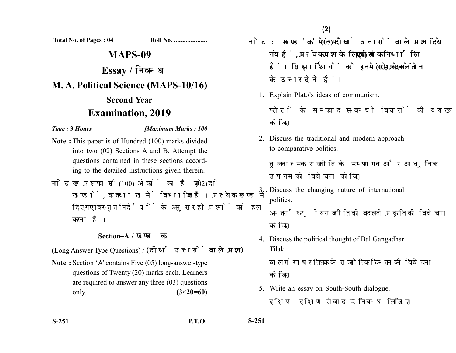**Total No. of Pages : 04 Roll No. ....................**

# **MAPS-09 Essay / M. A. Political Science (MAPS-10/16) Second Year Examination, 2019**

*Time :* **3** *Hours [Maximum Marks : 100*

- **Note :** This paper is of Hundred (100) marks divided into two (02) Sections A and B. Attempt the questions contained in these sections according to the detailed instructions given therein.
- नोट: यह प्रश्नपत्र सौ (100) अंकों का है जो दो (02) खण्डों. क तथा ख में विभाजित है। प्रत्येक खण्ड में दिए गए विस्तत निर्देशों के अनसार ही प्रश्नों को हल करना है।

## **Section–A /**

(Long Answer Type Questions) / (दीर्घ उत्तरों वाले प्रश्न)

**Note :** Section 'A' contains Five (05) long-answer-type questions of Twenty (20) marks each. Learners are required to answer any three (03) questions only. **(3×20=60)** 

- नोट: खण्ड 'क' में पाँच (05) दीर्घ उत्तरों वाले प्रश्न दिये गये हैं. प्रत्येक प्रश्न के लिए बीस (20) अंक निर्धारित हैं। शिक्षार्थियों को इनमें से केवल तीन (03) प्रश्नों के उत्तर देने हैं।
	- 1. Explain Plato's ideas of communism.

प्लेटो के साम्यवाद सम्बन्धी विचारों की व्याख्या कोजिए।

2. Discuss the traditional and modern approach to comparative politics.

तुलनात्मक राजनीति के परम्परागत और आधुनिक उपागम की विवेचना कीजिए।

- 3. Discuss the changing nature of international politics. अन्तर्राष्टीय राजनीति की बदलती प्रकृति की विवेचना कोजिए।
- 4. Discuss the political thought of Bal Gangadhar Tilak.

बाल गंगाधर तिलक के राजनीतिक चिन्तन की विवेचना कोजिए।

5. Write an essay on South-South dialogue. दक्षिण-दक्षिण संवाद पर निबन्ध लिखिए।